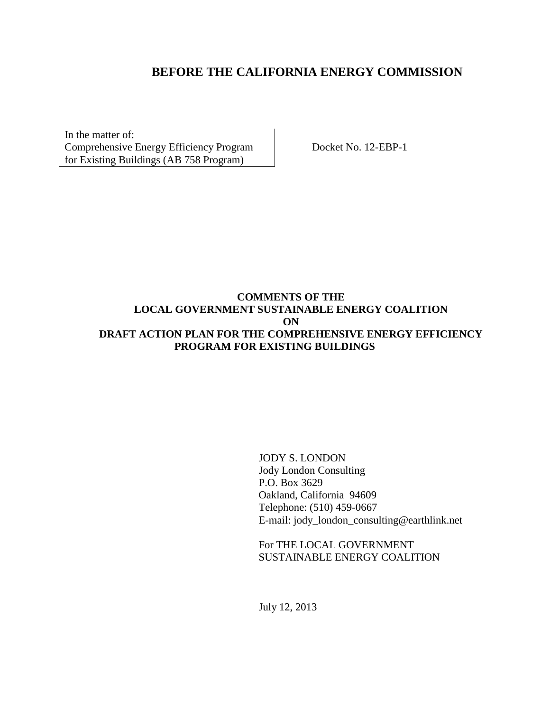# **BEFORE THE CALIFORNIA ENERGY COMMISSION**

In the matter of: Comprehensive Energy Efficiency Program for Existing Buildings (AB 758 Program)

Docket No. 12-EBP-1

### **COMMENTS OF THE LOCAL GOVERNMENT SUSTAINABLE ENERGY COALITION ON DRAFT ACTION PLAN FOR THE COMPREHENSIVE ENERGY EFFICIENCY PROGRAM FOR EXISTING BUILDINGS**

JODY S. LONDON Jody London Consulting P.O. Box 3629 Oakland, California 94609 Telephone: (510) 459-0667 E-mail: jody\_london\_consulting@earthlink.net

For THE LOCAL GOVERNMENT SUSTAINABLE ENERGY COALITION

July 12, 2013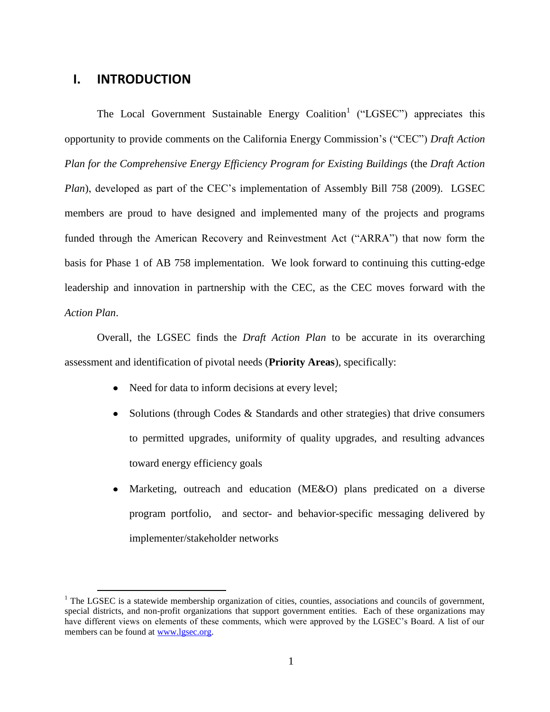### **I. INTRODUCTION**

 $\overline{a}$ 

The Local Government Sustainable Energy Coalition<sup>1</sup> ("LGSEC") appreciates this opportunity to provide comments on the California Energy Commission's ("CEC") *Draft Action Plan for the Comprehensive Energy Efficiency Program for Existing Buildings* (the *Draft Action Plan*), developed as part of the CEC's implementation of Assembly Bill 758 (2009). LGSEC members are proud to have designed and implemented many of the projects and programs funded through the American Recovery and Reinvestment Act ("ARRA") that now form the basis for Phase 1 of AB 758 implementation. We look forward to continuing this cutting-edge leadership and innovation in partnership with the CEC, as the CEC moves forward with the *Action Plan*.

Overall, the LGSEC finds the *Draft Action Plan* to be accurate in its overarching assessment and identification of pivotal needs (**Priority Areas**), specifically:

- Need for data to inform decisions at every level;
- Solutions (through Codes & Standards and other strategies) that drive consumers  $\bullet$ to permitted upgrades, uniformity of quality upgrades, and resulting advances toward energy efficiency goals
- Marketing, outreach and education (ME&O) plans predicated on a diverse  $\bullet$ program portfolio, and sector- and behavior-specific messaging delivered by implementer/stakeholder networks

<sup>&</sup>lt;sup>1</sup> The LGSEC is a statewide membership organization of cities, counties, associations and councils of government, special districts, and non-profit organizations that support government entities. Each of these organizations may have different views on elements of these comments, which were approved by the LGSEC's Board. A list of our members can be found at [www.lgsec.org.](http://www.lgsec.org/)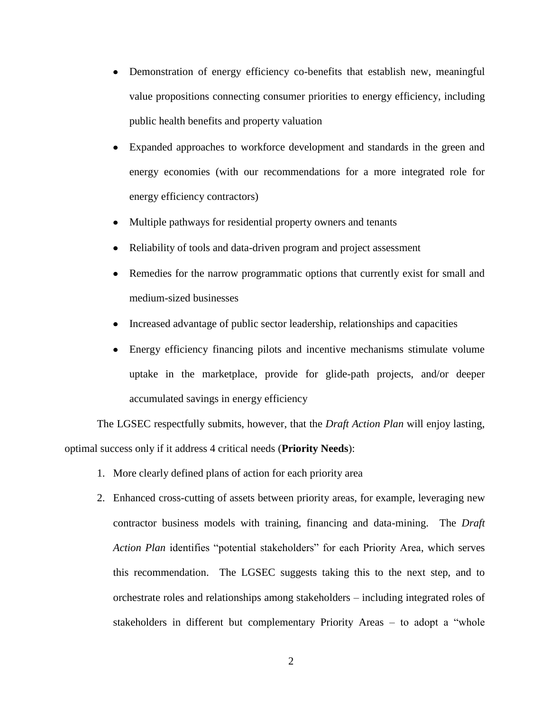- Demonstration of energy efficiency co-benefits that establish new, meaningful value propositions connecting consumer priorities to energy efficiency, including public health benefits and property valuation
- Expanded approaches to workforce development and standards in the green and energy economies (with our recommendations for a more integrated role for energy efficiency contractors)
- Multiple pathways for residential property owners and tenants  $\bullet$
- Reliability of tools and data-driven program and project assessment
- Remedies for the narrow programmatic options that currently exist for small and  $\bullet$ medium-sized businesses
- Increased advantage of public sector leadership, relationships and capacities  $\bullet$
- Energy efficiency financing pilots and incentive mechanisms stimulate volume  $\bullet$ uptake in the marketplace, provide for glide-path projects, and/or deeper accumulated savings in energy efficiency

The LGSEC respectfully submits, however, that the *Draft Action Plan* will enjoy lasting, optimal success only if it address 4 critical needs (**Priority Needs**):

- 1. More clearly defined plans of action for each priority area
- 2. Enhanced cross-cutting of assets between priority areas, for example, leveraging new contractor business models with training, financing and data-mining. The *Draft Action Plan* identifies "potential stakeholders" for each Priority Area, which serves this recommendation. The LGSEC suggests taking this to the next step, and to orchestrate roles and relationships among stakeholders – including integrated roles of stakeholders in different but complementary Priority Areas – to adopt a "whole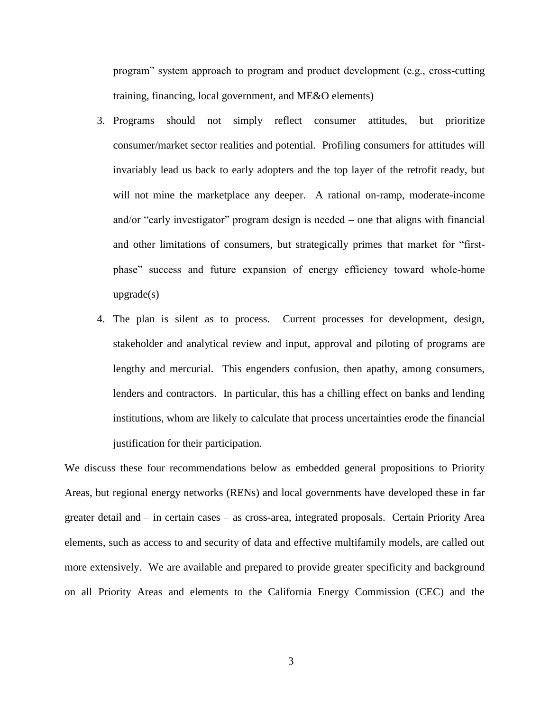program" system approach to program and product development (e.g., cross-cutting training, financing, local government, and ME&O elements)

- 3. Programs should not simply reflect consumer attitudes, but prioritize consumer/market sector realities and potential. Profiling consumers for attitudes will invariably lead us back to early adopters and the top layer of the retrofit ready, but will not mine the marketplace any deeper. A rational on-ramp, moderate-income and/or "early investigator" program design is needed – one that aligns with financial and other limitations of consumers, but strategically primes that market for "firstphase" success and future expansion of energy efficiency toward whole-home upgrade(s)
- 4. The plan is silent as to process. Current processes for development, design, stakeholder and analytical review and input, approval and piloting of programs are lengthy and mercurial. This engenders confusion, then apathy, among consumers, lenders and contractors. In particular, this has a chilling effect on banks and lending institutions, whom are likely to calculate that process uncertainties erode the financial justification for their participation.

We discuss these four recommendations below as embedded general propositions to Priority Areas, but regional energy networks (RENs) and local governments have developed these in far greater detail and – in certain cases – as cross-area, integrated proposals. Certain Priority Area elements, such as access to and security of data and effective multifamily models, are called out more extensively. We are available and prepared to provide greater specificity and background on all Priority Areas and elements to the California Energy Commission (CEC) and the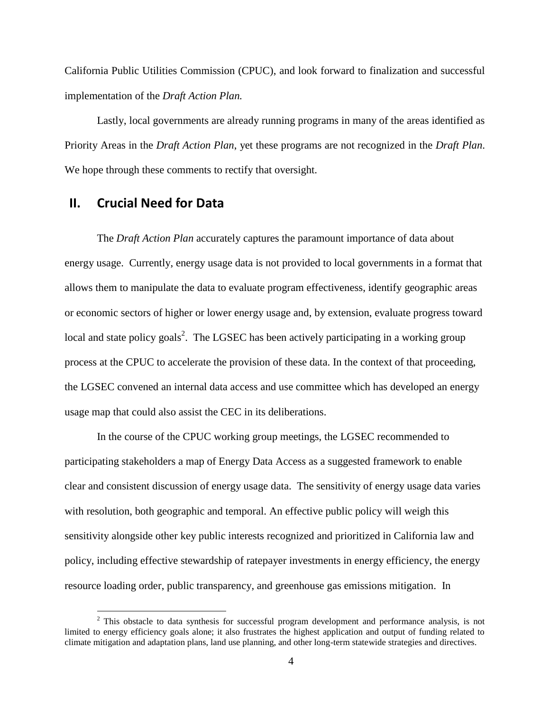California Public Utilities Commission (CPUC), and look forward to finalization and successful implementation of the *Draft Action Plan.*

Lastly, local governments are already running programs in many of the areas identified as Priority Areas in the *Draft Action Plan*, yet these programs are not recognized in the *Draft Plan*. We hope through these comments to rectify that oversight.

## **II. Crucial Need for Data**

 $\overline{a}$ 

The *Draft Action Plan* accurately captures the paramount importance of data about energy usage. Currently, energy usage data is not provided to local governments in a format that allows them to manipulate the data to evaluate program effectiveness, identify geographic areas or economic sectors of higher or lower energy usage and, by extension, evaluate progress toward local and state policy goals<sup>2</sup>. The LGSEC has been actively participating in a working group process at the CPUC to accelerate the provision of these data. In the context of that proceeding, the LGSEC convened an internal data access and use committee which has developed an energy usage map that could also assist the CEC in its deliberations.

In the course of the CPUC working group meetings, the LGSEC recommended to participating stakeholders a map of Energy Data Access as a suggested framework to enable clear and consistent discussion of energy usage data. The sensitivity of energy usage data varies with resolution, both geographic and temporal. An effective public policy will weigh this sensitivity alongside other key public interests recognized and prioritized in California law and policy, including effective stewardship of ratepayer investments in energy efficiency, the energy resource loading order, public transparency, and greenhouse gas emissions mitigation. In

 $2$  This obstacle to data synthesis for successful program development and performance analysis, is not limited to energy efficiency goals alone; it also frustrates the highest application and output of funding related to climate mitigation and adaptation plans, land use planning, and other long-term statewide strategies and directives.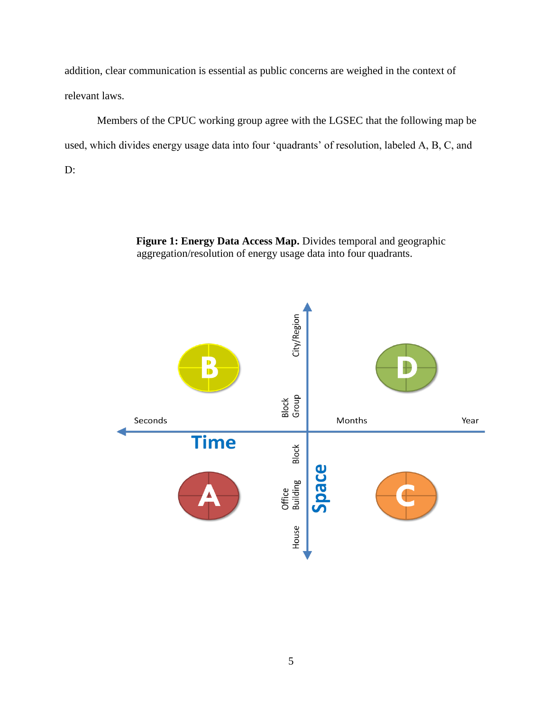addition, clear communication is essential as public concerns are weighed in the context of relevant laws.

Members of the CPUC working group agree with the LGSEC that the following map be used, which divides energy usage data into four 'quadrants' of resolution, labeled A, B, C, and D:

> **Figure 1: Energy Data Access Map.** Divides temporal and geographic aggregation/resolution of energy usage data into four quadrants.

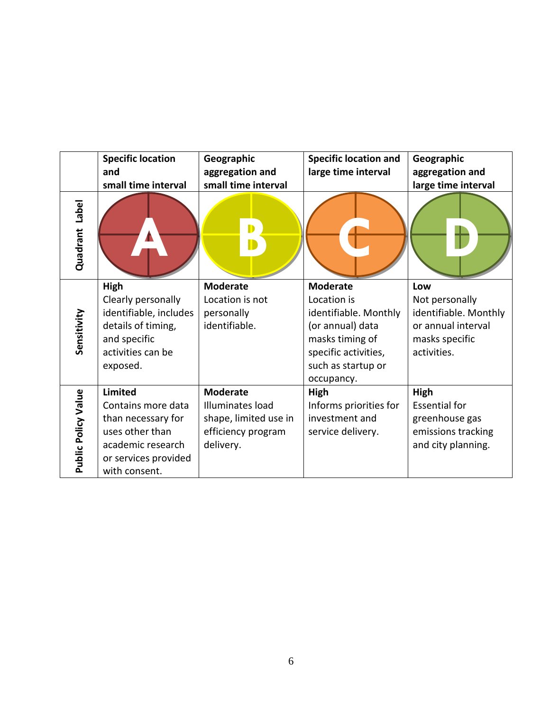|                          | <b>Specific location</b> | Geographic            | <b>Specific location and</b> | Geographic            |
|--------------------------|--------------------------|-----------------------|------------------------------|-----------------------|
|                          | and                      | aggregation and       | large time interval          | aggregation and       |
|                          | small time interval      | small time interval   |                              | large time interval   |
| <b>Label</b><br>Quadrant |                          | D                     |                              |                       |
| Sensitivity              | High                     | <b>Moderate</b>       | <b>Moderate</b>              | Low                   |
|                          | Clearly personally       | Location is not       | Location is                  | Not personally        |
|                          | identifiable, includes   | personally            | identifiable. Monthly        | identifiable. Monthly |
|                          | details of timing,       | identifiable.         | (or annual) data             | or annual interval    |
|                          | and specific             |                       | masks timing of              | masks specific        |
|                          | activities can be        |                       | specific activities,         | activities.           |
|                          | exposed.                 |                       | such as startup or           |                       |
|                          |                          |                       | occupancy.                   |                       |
|                          | <b>Limited</b>           | <b>Moderate</b>       | High                         | <b>High</b>           |
| Public Policy Value      | Contains more data       | Illuminates load      | Informs priorities for       | <b>Essential for</b>  |
|                          | than necessary for       | shape, limited use in | investment and               | greenhouse gas        |
|                          | uses other than          | efficiency program    | service delivery.            | emissions tracking    |
|                          | academic research        | delivery.             |                              | and city planning.    |
|                          | or services provided     |                       |                              |                       |
|                          | with consent.            |                       |                              |                       |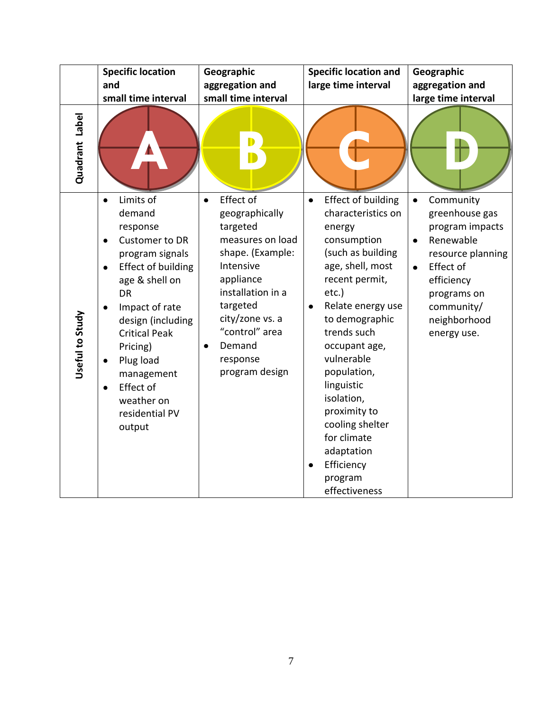|                 | <b>Specific location</b><br>and<br>small time interval                                                                                                                                                                                                                                                                 | Geographic<br>aggregation and<br>small time interval                                                                                                                                                                                 | <b>Specific location and</b><br>large time interval                                                                                                                                                                                                                                                                                                                                                          | Geographic<br>aggregation and<br>large time interval                                                                                                                                                           |
|-----------------|------------------------------------------------------------------------------------------------------------------------------------------------------------------------------------------------------------------------------------------------------------------------------------------------------------------------|--------------------------------------------------------------------------------------------------------------------------------------------------------------------------------------------------------------------------------------|--------------------------------------------------------------------------------------------------------------------------------------------------------------------------------------------------------------------------------------------------------------------------------------------------------------------------------------------------------------------------------------------------------------|----------------------------------------------------------------------------------------------------------------------------------------------------------------------------------------------------------------|
| Quadrant Label  |                                                                                                                                                                                                                                                                                                                        | D                                                                                                                                                                                                                                    |                                                                                                                                                                                                                                                                                                                                                                                                              |                                                                                                                                                                                                                |
| Useful to Study | Limits of<br>$\bullet$<br>demand<br>response<br><b>Customer to DR</b><br>٠<br>program signals<br><b>Effect of building</b><br>age & shell on<br><b>DR</b><br>Impact of rate<br>design (including<br><b>Critical Peak</b><br>Pricing)<br>Plug load<br>management<br>Effect of<br>weather on<br>residential PV<br>output | Effect of<br>$\bullet$<br>geographically<br>targeted<br>measures on load<br>shape. (Example:<br>Intensive<br>appliance<br>installation in a<br>targeted<br>city/zone vs. a<br>"control" area<br>Demand<br>response<br>program design | Effect of building<br>$\bullet$<br>characteristics on<br>energy<br>consumption<br>(such as building<br>age, shell, most<br>recent permit,<br>$etc.$ )<br>Relate energy use<br>$\bullet$<br>to demographic<br>trends such<br>occupant age,<br>vulnerable<br>population,<br>linguistic<br>isolation,<br>proximity to<br>cooling shelter<br>for climate<br>adaptation<br>Efficiency<br>program<br>effectiveness | Community<br>$\bullet$<br>greenhouse gas<br>program impacts<br>Renewable<br>$\bullet$<br>resource planning<br>Effect of<br>$\bullet$<br>efficiency<br>programs on<br>community/<br>neighborhood<br>energy use. |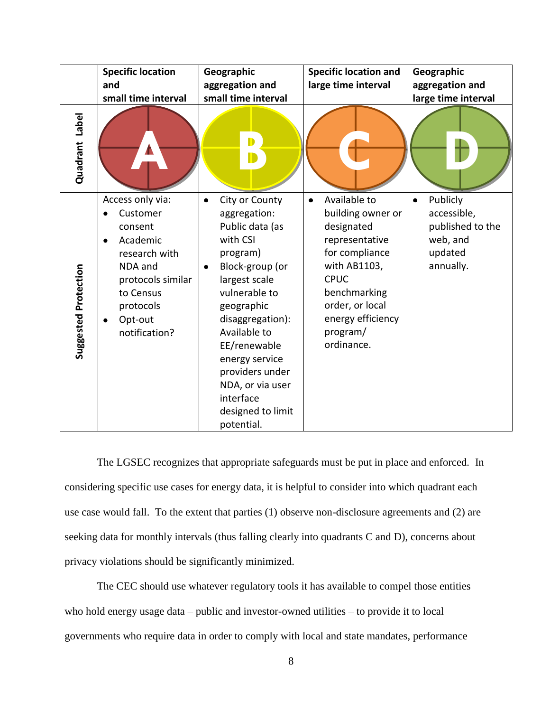|                      | <b>Specific location</b><br>and<br>small time interval                                                                                                     | Geographic<br>aggregation and<br>small time interval                                                                                                                                                                                                                                                                        | <b>Specific location and</b><br>large time interval                                                                                                                                                               | Geographic<br>aggregation and<br>large time interval                            |
|----------------------|------------------------------------------------------------------------------------------------------------------------------------------------------------|-----------------------------------------------------------------------------------------------------------------------------------------------------------------------------------------------------------------------------------------------------------------------------------------------------------------------------|-------------------------------------------------------------------------------------------------------------------------------------------------------------------------------------------------------------------|---------------------------------------------------------------------------------|
| Quadrant Label       |                                                                                                                                                            | D                                                                                                                                                                                                                                                                                                                           |                                                                                                                                                                                                                   |                                                                                 |
| Suggested Protection | Access only via:<br>Customer<br>consent<br>Academic<br>research with<br>NDA and<br>protocols similar<br>to Census<br>protocols<br>Opt-out<br>notification? | City or County<br>$\bullet$<br>aggregation:<br>Public data (as<br>with CSI<br>program)<br>Block-group (or<br>٠<br>largest scale<br>vulnerable to<br>geographic<br>disaggregation):<br>Available to<br>EE/renewable<br>energy service<br>providers under<br>NDA, or via user<br>interface<br>designed to limit<br>potential. | Available to<br>$\bullet$<br>building owner or<br>designated<br>representative<br>for compliance<br>with AB1103,<br><b>CPUC</b><br>benchmarking<br>order, or local<br>energy efficiency<br>program/<br>ordinance. | Publicly<br>accessible,<br>published to the<br>web, and<br>updated<br>annually. |

The LGSEC recognizes that appropriate safeguards must be put in place and enforced. In considering specific use cases for energy data, it is helpful to consider into which quadrant each use case would fall. To the extent that parties (1) observe non-disclosure agreements and (2) are seeking data for monthly intervals (thus falling clearly into quadrants C and D), concerns about privacy violations should be significantly minimized.

The CEC should use whatever regulatory tools it has available to compel those entities who hold energy usage data – public and investor-owned utilities – to provide it to local governments who require data in order to comply with local and state mandates, performance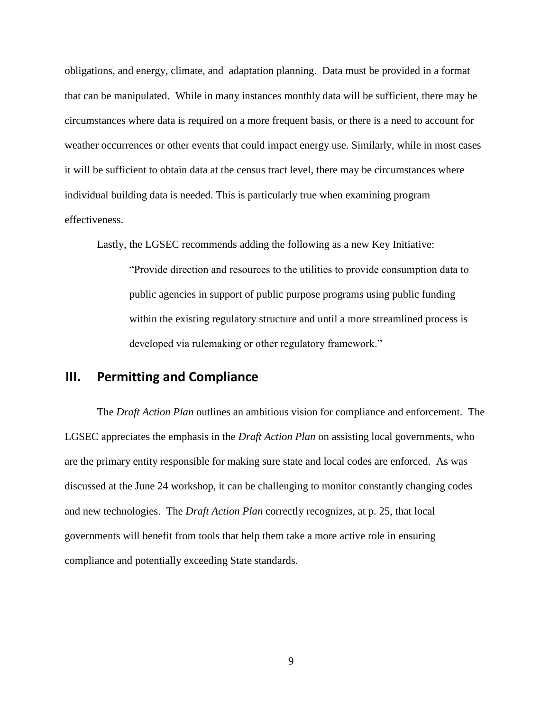obligations, and energy, climate, and adaptation planning. Data must be provided in a format that can be manipulated. While in many instances monthly data will be sufficient, there may be circumstances where data is required on a more frequent basis, or there is a need to account for weather occurrences or other events that could impact energy use. Similarly, while in most cases it will be sufficient to obtain data at the census tract level, there may be circumstances where individual building data is needed. This is particularly true when examining program effectiveness.

Lastly, the LGSEC recommends adding the following as a new Key Initiative:

"Provide direction and resources to the utilities to provide consumption data to public agencies in support of public purpose programs using public funding within the existing regulatory structure and until a more streamlined process is developed via rulemaking or other regulatory framework."

# **III. Permitting and Compliance**

The *Draft Action Plan* outlines an ambitious vision for compliance and enforcement. The LGSEC appreciates the emphasis in the *Draft Action Plan* on assisting local governments, who are the primary entity responsible for making sure state and local codes are enforced. As was discussed at the June 24 workshop, it can be challenging to monitor constantly changing codes and new technologies. The *Draft Action Plan* correctly recognizes, at p. 25, that local governments will benefit from tools that help them take a more active role in ensuring compliance and potentially exceeding State standards.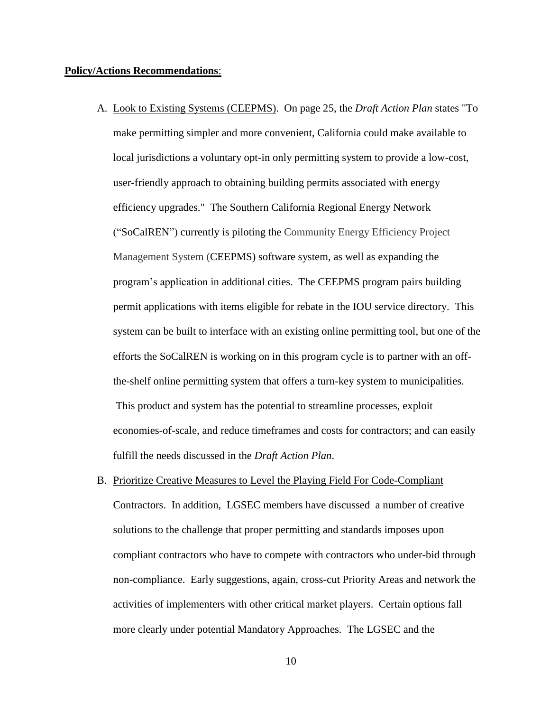#### **Policy/Actions Recommendations**:

- A. Look to Existing Systems (CEEPMS). On page 25, the *Draft Action Plan* states "To make permitting simpler and more convenient, California could make available to local jurisdictions a voluntary opt-in only permitting system to provide a low-cost, user-friendly approach to obtaining building permits associated with energy efficiency upgrades." The Southern California Regional Energy Network ("SoCalREN") currently is piloting the Community Energy Efficiency Project Management System (CEEPMS) software system, as well as expanding the program's application in additional cities. The CEEPMS program pairs building permit applications with items eligible for rebate in the IOU service directory. This system can be built to interface with an existing online permitting tool, but one of the efforts the SoCalREN is working on in this program cycle is to partner with an offthe-shelf online permitting system that offers a turn-key system to municipalities. This product and system has the potential to streamline processes, exploit economies-of-scale, and reduce timeframes and costs for contractors; and can easily fulfill the needs discussed in the *Draft Action Plan*.
- B. Prioritize Creative Measures to Level the Playing Field For Code-Compliant Contractors. In addition, LGSEC members have discussed a number of creative solutions to the challenge that proper permitting and standards imposes upon compliant contractors who have to compete with contractors who under-bid through non-compliance. Early suggestions, again, cross-cut Priority Areas and network the activities of implementers with other critical market players. Certain options fall more clearly under potential Mandatory Approaches. The LGSEC and the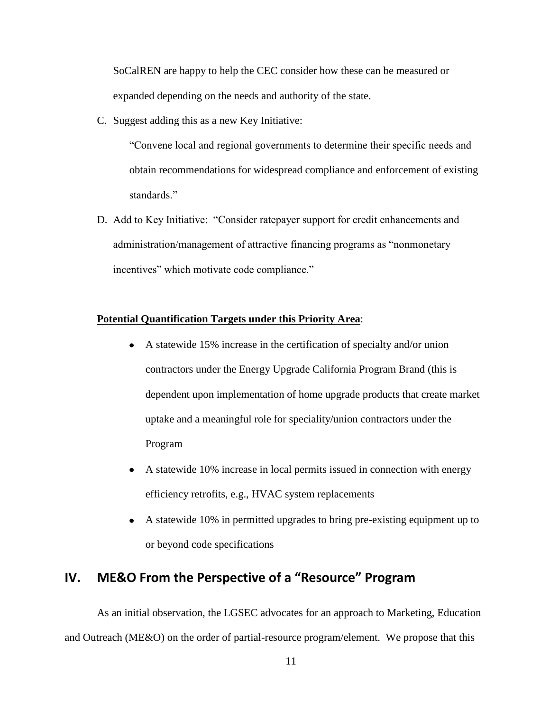SoCalREN are happy to help the CEC consider how these can be measured or expanded depending on the needs and authority of the state.

C. Suggest adding this as a new Key Initiative:

"Convene local and regional governments to determine their specific needs and obtain recommendations for widespread compliance and enforcement of existing standards."

D. Add to Key Initiative: "Consider ratepayer support for credit enhancements and administration/management of attractive financing programs as "nonmonetary incentives" which motivate code compliance."

### **Potential Quantification Targets under this Priority Area**:

- A statewide 15% increase in the certification of specialty and/or union contractors under the Energy Upgrade California Program Brand (this is dependent upon implementation of home upgrade products that create market uptake and a meaningful role for speciality/union contractors under the Program
- A statewide 10% increase in local permits issued in connection with energy efficiency retrofits, e.g., HVAC system replacements
- A statewide 10% in permitted upgrades to bring pre-existing equipment up to or beyond code specifications

# **IV. ME&O From the Perspective of a "Resource" Program**

As an initial observation, the LGSEC advocates for an approach to Marketing, Education and Outreach (ME&O) on the order of partial-resource program/element. We propose that this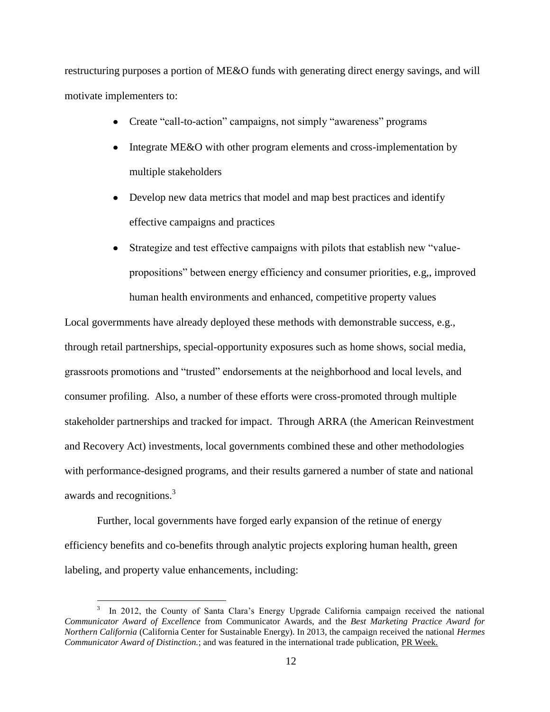restructuring purposes a portion of ME&O funds with generating direct energy savings, and will motivate implementers to:

- Create "call-to-action" campaigns, not simply "awareness" programs  $\bullet$
- $\bullet$ Integrate ME&O with other program elements and cross-implementation by multiple stakeholders
- Develop new data metrics that model and map best practices and identify effective campaigns and practices
- Strategize and test effective campaigns with pilots that establish new "value- $\bullet$ propositions" between energy efficiency and consumer priorities, e.g,, improved human health environments and enhanced, competitive property values

Local govermments have already deployed these methods with demonstrable success, e.g., through retail partnerships, special-opportunity exposures such as home shows, social media, grassroots promotions and "trusted" endorsements at the neighborhood and local levels, and consumer profiling. Also, a number of these efforts were cross-promoted through multiple stakeholder partnerships and tracked for impact. Through ARRA (the American Reinvestment and Recovery Act) investments, local governments combined these and other methodologies with performance-designed programs, and their results garnered a number of state and national awards and recognitions.<sup>3</sup>

Further, local governments have forged early expansion of the retinue of energy efficiency benefits and co-benefits through analytic projects exploring human health, green labeling, and property value enhancements, including:

 $\overline{a}$ 

<sup>3</sup> In 2012, the County of Santa Clara's Energy Upgrade California campaign received the national *Communicator Award of Excellence* from Communicator Awards, and the *Best Marketing Practice Award for Northern California* (California Center for Sustainable Energy). In 2013, the campaign received the national *Hermes Communicator Award of Distinction.*; and was featured in the international trade publication, PR Week.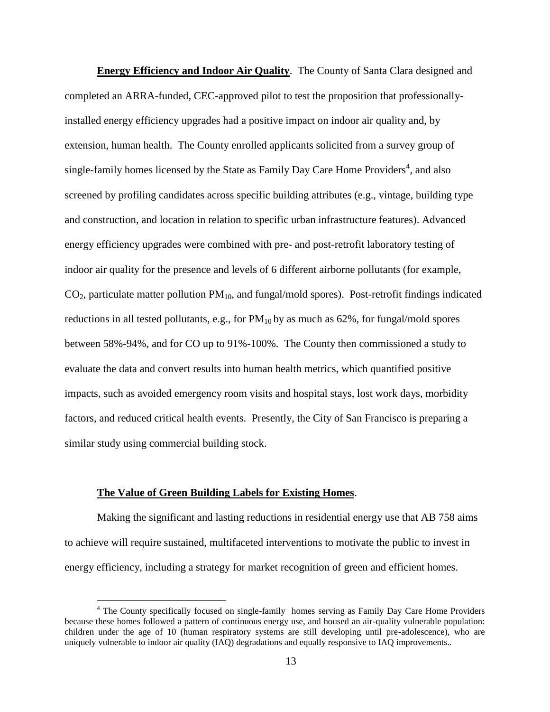**Energy Efficiency and Indoor Air Quality**. The County of Santa Clara designed and completed an ARRA-funded, CEC-approved pilot to test the proposition that professionallyinstalled energy efficiency upgrades had a positive impact on indoor air quality and, by extension, human health. The County enrolled applicants solicited from a survey group of single-family homes licensed by the State as Family Day Care Home Providers<sup>4</sup>, and also screened by profiling candidates across specific building attributes (e.g., vintage, building type and construction, and location in relation to specific urban infrastructure features). Advanced energy efficiency upgrades were combined with pre- and post-retrofit laboratory testing of indoor air quality for the presence and levels of 6 different airborne pollutants (for example,  $CO<sub>2</sub>$ , particulate matter pollution  $PM<sub>10</sub>$ , and fungal/mold spores). Post-retrofit findings indicated reductions in all tested pollutants, e.g., for  $PM_{10}$  by as much as 62%, for fungal/mold spores between 58%-94%, and for CO up to 91%-100%. The County then commissioned a study to evaluate the data and convert results into human health metrics, which quantified positive impacts, such as avoided emergency room visits and hospital stays, lost work days, morbidity factors, and reduced critical health events. Presently, the City of San Francisco is preparing a similar study using commercial building stock.

#### **The Value of Green Building Labels for Existing Homes**.

 $\overline{a}$ 

Making the significant and lasting reductions in residential energy use that AB 758 aims to achieve will require sustained, multifaceted interventions to motivate the public to invest in energy efficiency, including a strategy for market recognition of green and efficient homes.

<sup>&</sup>lt;sup>4</sup> The County specifically focused on single-family homes serving as Family Day Care Home Providers because these homes followed a pattern of continuous energy use, and housed an air-quality vulnerable population: children under the age of 10 (human respiratory systems are still developing until pre-adolescence), who are uniquely vulnerable to indoor air quality (IAQ) degradations and equally responsive to IAQ improvements..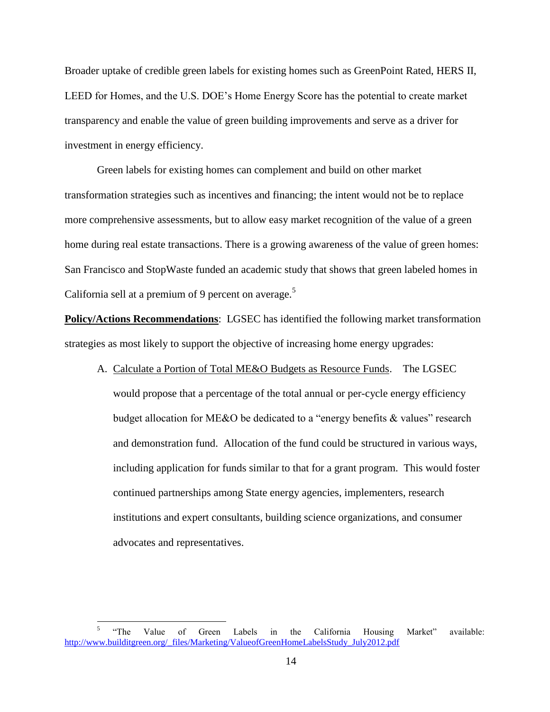Broader uptake of credible green labels for existing homes such as GreenPoint Rated, HERS II, LEED for Homes, and the U.S. DOE's Home Energy Score has the potential to create market transparency and enable the value of green building improvements and serve as a driver for investment in energy efficiency.

Green labels for existing homes can complement and build on other market transformation strategies such as incentives and financing; the intent would not be to replace more comprehensive assessments, but to allow easy market recognition of the value of a green home during real estate transactions. There is a growing awareness of the value of green homes: San Francisco and StopWaste funded an academic study that shows that green labeled homes in California sell at a premium of 9 percent on average.<sup>5</sup>

**Policy/Actions Recommendations**: LGSEC has identified the following market transformation strategies as most likely to support the objective of increasing home energy upgrades:

A. Calculate a Portion of Total ME&O Budgets as Resource Funds. The LGSEC would propose that a percentage of the total annual or per-cycle energy efficiency budget allocation for ME&O be dedicated to a "energy benefits & values" research and demonstration fund. Allocation of the fund could be structured in various ways, including application for funds similar to that for a grant program. This would foster continued partnerships among State energy agencies, implementers, research institutions and expert consultants, building science organizations, and consumer advocates and representatives.

 5 "The Value of Green Labels in the California Housing Market" available: [http://www.builditgreen.org/\\_files/Marketing/ValueofGreenHomeLabelsStudy\\_July2012.pdf](http://www.builditgreen.org/_files/Marketing/ValueofGreenHomeLabelsStudy_July2012.pdf)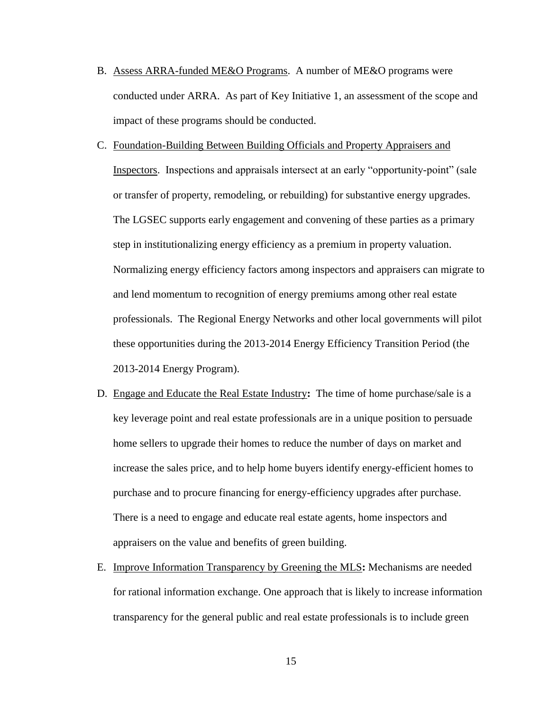- B. Assess ARRA-funded ME&O Programs. A number of ME&O programs were conducted under ARRA. As part of Key Initiative 1, an assessment of the scope and impact of these programs should be conducted.
- C. Foundation-Building Between Building Officials and Property Appraisers and Inspectors. Inspections and appraisals intersect at an early "opportunity-point" (sale or transfer of property, remodeling, or rebuilding) for substantive energy upgrades. The LGSEC supports early engagement and convening of these parties as a primary step in institutionalizing energy efficiency as a premium in property valuation. Normalizing energy efficiency factors among inspectors and appraisers can migrate to and lend momentum to recognition of energy premiums among other real estate professionals. The Regional Energy Networks and other local governments will pilot these opportunities during the 2013-2014 Energy Efficiency Transition Period (the 2013-2014 Energy Program).
- D. Engage and Educate the Real Estate Industry**:** The time of home purchase/sale is a key leverage point and real estate professionals are in a unique position to persuade home sellers to upgrade their homes to reduce the number of days on market and increase the sales price, and to help home buyers identify energy-efficient homes to purchase and to procure financing for energy-efficiency upgrades after purchase. There is a need to engage and educate real estate agents, home inspectors and appraisers on the value and benefits of green building.
- E. Improve Information Transparency by Greening the MLS**:** Mechanisms are needed for rational information exchange. One approach that is likely to increase information transparency for the general public and real estate professionals is to include green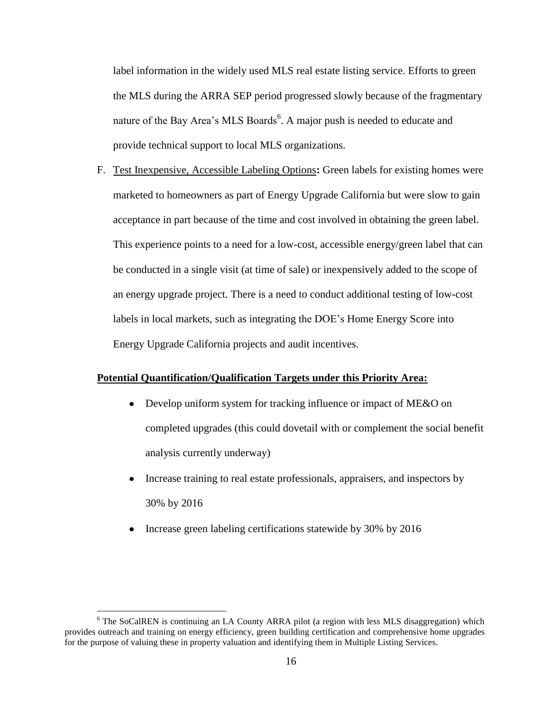label information in the widely used MLS real estate listing service. Efforts to green the MLS during the ARRA SEP period progressed slowly because of the fragmentary nature of the Bay Area's MLS Boards<sup>6</sup>. A major push is needed to educate and provide technical support to local MLS organizations.

F. Test Inexpensive, Accessible Labeling Options**:** Green labels for existing homes were marketed to homeowners as part of Energy Upgrade California but were slow to gain acceptance in part because of the time and cost involved in obtaining the green label. This experience points to a need for a low-cost, accessible energy/green label that can be conducted in a single visit (at time of sale) or inexpensively added to the scope of an energy upgrade project. There is a need to conduct additional testing of low-cost labels in local markets, such as integrating the DOE's Home Energy Score into Energy Upgrade California projects and audit incentives.

### **Potential Quantification/Qualification Targets under this Priority Area:**

- Develop uniform system for tracking influence or impact of ME&O on completed upgrades (this could dovetail with or complement the social benefit analysis currently underway)
- Increase training to real estate professionals, appraisers, and inspectors by 30% by 2016
- Increase green labeling certifications statewide by 30% by 2016

 $\overline{a}$ 

 $6$  The SoCalREN is continuing an LA County ARRA pilot (a region with less MLS disaggregation) which provides outreach and training on energy efficiency, green building certification and comprehensive home upgrades for the purpose of valuing these in property valuation and identifying them in Multiple Listing Services.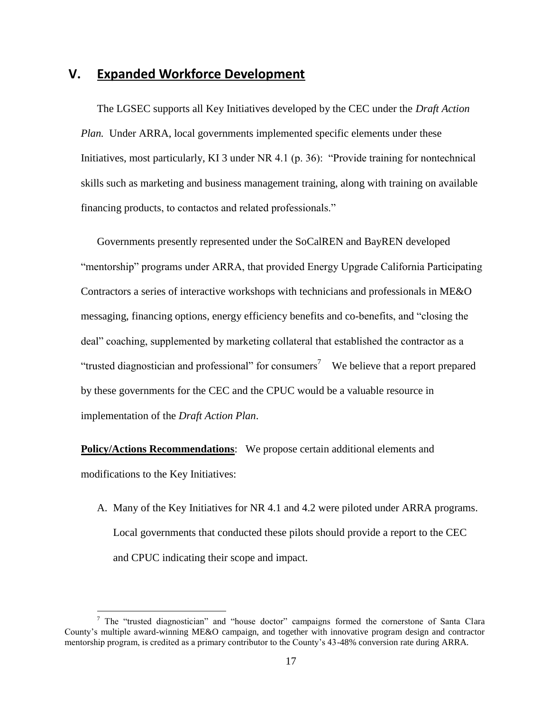# **V. Expanded Workforce Development**

The LGSEC supports all Key Initiatives developed by the CEC under the *Draft Action Plan.* Under ARRA, local governments implemented specific elements under these Initiatives, most particularly, KI 3 under NR 4.1 (p. 36): "Provide training for nontechnical skills such as marketing and business management training, along with training on available financing products, to contactos and related professionals."

Governments presently represented under the SoCalREN and BayREN developed "mentorship" programs under ARRA, that provided Energy Upgrade California Participating Contractors a series of interactive workshops with technicians and professionals in ME&O messaging, financing options, energy efficiency benefits and co-benefits, and "closing the deal" coaching, supplemented by marketing collateral that established the contractor as a "trusted diagnostician and professional" for consumers<sup>7</sup> We believe that a report prepared by these governments for the CEC and the CPUC would be a valuable resource in implementation of the *Draft Action Plan*.

**Policy/Actions Recommendations**: We propose certain additional elements and modifications to the Key Initiatives:

A. Many of the Key Initiatives for NR 4.1 and 4.2 were piloted under ARRA programs. Local governments that conducted these pilots should provide a report to the CEC and CPUC indicating their scope and impact.

 $\overline{a}$ 

 $<sup>7</sup>$  The "trusted diagnostician" and "house doctor" campaigns formed the cornerstone of Santa Clara</sup> County's multiple award-winning ME&O campaign, and together with innovative program design and contractor mentorship program, is credited as a primary contributor to the County's 43-48% conversion rate during ARRA.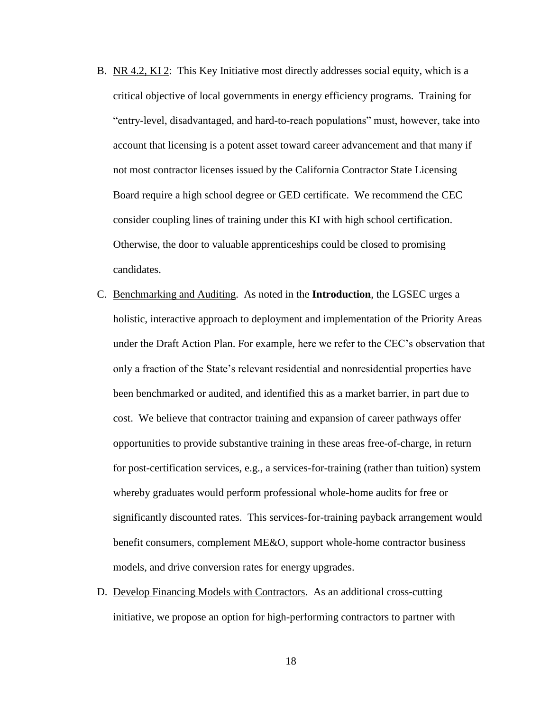- B. NR 4.2, KI 2: This Key Initiative most directly addresses social equity, which is a critical objective of local governments in energy efficiency programs. Training for "entry-level, disadvantaged, and hard-to-reach populations" must, however, take into account that licensing is a potent asset toward career advancement and that many if not most contractor licenses issued by the California Contractor State Licensing Board require a high school degree or GED certificate. We recommend the CEC consider coupling lines of training under this KI with high school certification. Otherwise, the door to valuable apprenticeships could be closed to promising candidates.
- C. Benchmarking and Auditing. As noted in the **Introduction**, the LGSEC urges a holistic, interactive approach to deployment and implementation of the Priority Areas under the Draft Action Plan. For example, here we refer to the CEC's observation that only a fraction of the State's relevant residential and nonresidential properties have been benchmarked or audited, and identified this as a market barrier, in part due to cost. We believe that contractor training and expansion of career pathways offer opportunities to provide substantive training in these areas free-of-charge, in return for post-certification services, e.g., a services-for-training (rather than tuition) system whereby graduates would perform professional whole-home audits for free or significantly discounted rates. This services-for-training payback arrangement would benefit consumers, complement ME&O, support whole-home contractor business models, and drive conversion rates for energy upgrades.
- D. Develop Financing Models with Contractors. As an additional cross-cutting initiative, we propose an option for high-performing contractors to partner with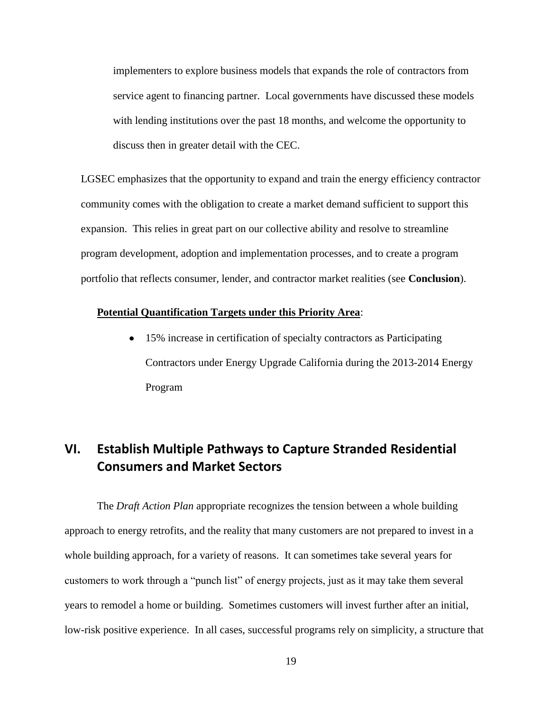implementers to explore business models that expands the role of contractors from service agent to financing partner. Local governments have discussed these models with lending institutions over the past 18 months, and welcome the opportunity to discuss then in greater detail with the CEC.

LGSEC emphasizes that the opportunity to expand and train the energy efficiency contractor community comes with the obligation to create a market demand sufficient to support this expansion. This relies in great part on our collective ability and resolve to streamline program development, adoption and implementation processes, and to create a program portfolio that reflects consumer, lender, and contractor market realities (see **Conclusion**).

### **Potential Quantification Targets under this Priority Area**:

• 15% increase in certification of specialty contractors as Participating Contractors under Energy Upgrade California during the 2013-2014 Energy Program

# **VI. Establish Multiple Pathways to Capture Stranded Residential Consumers and Market Sectors**

The *Draft Action Plan* appropriate recognizes the tension between a whole building approach to energy retrofits, and the reality that many customers are not prepared to invest in a whole building approach, for a variety of reasons. It can sometimes take several years for customers to work through a "punch list" of energy projects, just as it may take them several years to remodel a home or building. Sometimes customers will invest further after an initial, low-risk positive experience. In all cases, successful programs rely on simplicity, a structure that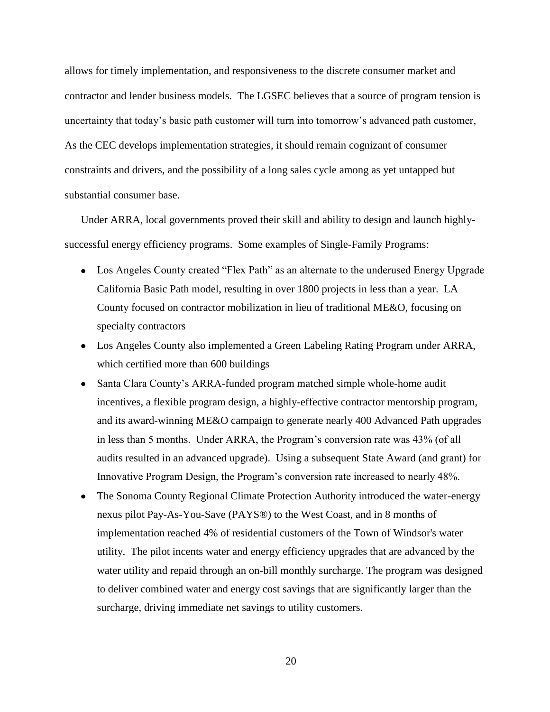allows for timely implementation, and responsiveness to the discrete consumer market and contractor and lender business models. The LGSEC believes that a source of program tension is uncertainty that today's basic path customer will turn into tomorrow's advanced path customer, As the CEC develops implementation strategies, it should remain cognizant of consumer constraints and drivers, and the possibility of a long sales cycle among as yet untapped but substantial consumer base.

Under ARRA, local governments proved their skill and ability to design and launch highlysuccessful energy efficiency programs. Some examples of Single-Family Programs:

- Los Angeles County created "Flex Path" as an alternate to the underused Energy Upgrade California Basic Path model, resulting in over 1800 projects in less than a year. LA County focused on contractor mobilization in lieu of traditional ME&O, focusing on specialty contractors
- Los Angeles County also implemented a Green Labeling Rating Program under ARRA, which certified more than 600 buildings
- Santa Clara County's ARRA-funded program matched simple whole-home audit incentives, a flexible program design, a highly-effective contractor mentorship program, and its award-winning ME&O campaign to generate nearly 400 Advanced Path upgrades in less than 5 months. Under ARRA, the Program's conversion rate was 43% (of all audits resulted in an advanced upgrade). Using a subsequent State Award (and grant) for Innovative Program Design, the Program's conversion rate increased to nearly 48%.
- The Sonoma County Regional Climate Protection Authority introduced the water-energy nexus pilot Pay-As-You-Save (PAYS®) to the West Coast, and in 8 months of implementation reached 4% of residential customers of the Town of Windsor's water utility. The pilot incents water and energy efficiency upgrades that are advanced by the water utility and repaid through an on-bill monthly surcharge. The program was designed to deliver combined water and energy cost savings that are significantly larger than the surcharge, driving immediate net savings to utility customers.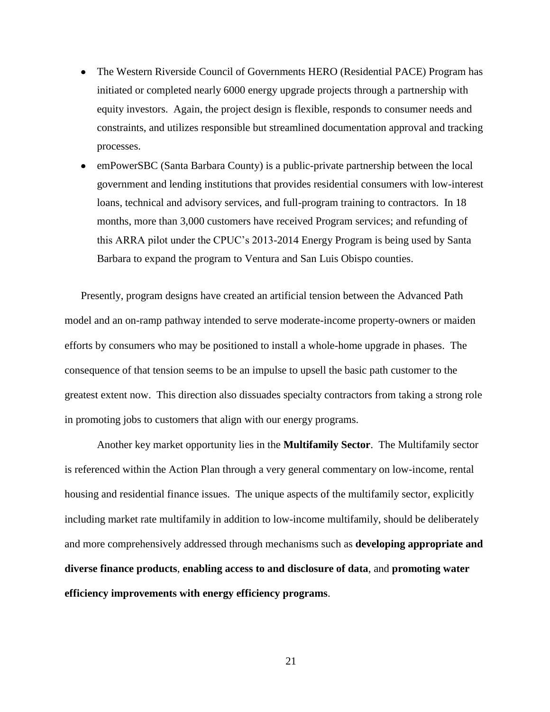- The Western Riverside Council of Governments HERO (Residential PACE) Program has initiated or completed nearly 6000 energy upgrade projects through a partnership with equity investors. Again, the project design is flexible, responds to consumer needs and constraints, and utilizes responsible but streamlined documentation approval and tracking processes.
- emPowerSBC (Santa Barbara County) is a public-private partnership between the local government and lending institutions that provides residential consumers with low-interest loans, technical and advisory services, and full-program training to contractors. In 18 months, more than 3,000 customers have received Program services; and refunding of this ARRA pilot under the CPUC's 2013-2014 Energy Program is being used by Santa Barbara to expand the program to Ventura and San Luis Obispo counties.

Presently, program designs have created an artificial tension between the Advanced Path model and an on-ramp pathway intended to serve moderate-income property-owners or maiden efforts by consumers who may be positioned to install a whole-home upgrade in phases. The consequence of that tension seems to be an impulse to upsell the basic path customer to the greatest extent now. This direction also dissuades specialty contractors from taking a strong role in promoting jobs to customers that align with our energy programs.

Another key market opportunity lies in the **Multifamily Sector**. The Multifamily sector is referenced within the Action Plan through a very general commentary on low-income, rental housing and residential finance issues. The unique aspects of the multifamily sector, explicitly including market rate multifamily in addition to low-income multifamily, should be deliberately and more comprehensively addressed through mechanisms such as **developing appropriate and diverse finance products**, **enabling access to and disclosure of data**, and **promoting water efficiency improvements with energy efficiency programs**.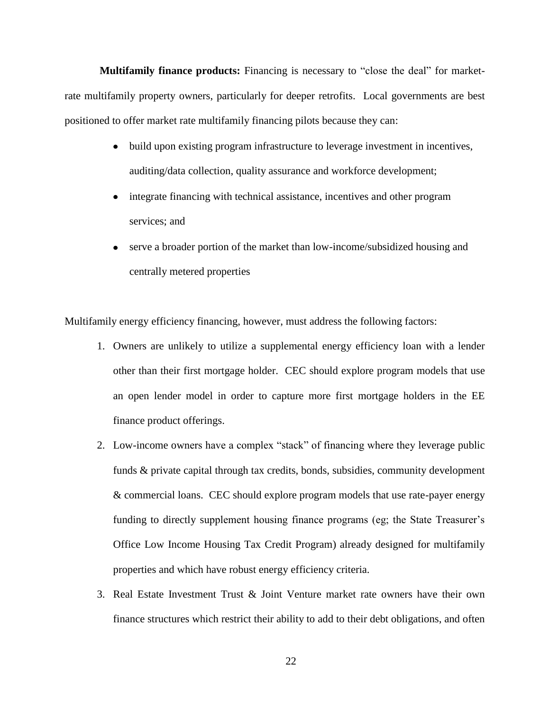**Multifamily finance products:** Financing is necessary to "close the deal" for marketrate multifamily property owners, particularly for deeper retrofits. Local governments are best positioned to offer market rate multifamily financing pilots because they can:

- build upon existing program infrastructure to leverage investment in incentives, auditing/data collection, quality assurance and workforce development;
- integrate financing with technical assistance, incentives and other program services; and
- serve a broader portion of the market than low-income/subsidized housing and centrally metered properties

Multifamily energy efficiency financing, however, must address the following factors:

- 1. Owners are unlikely to utilize a supplemental energy efficiency loan with a lender other than their first mortgage holder. CEC should explore program models that use an open lender model in order to capture more first mortgage holders in the EE finance product offerings.
- 2. Low-income owners have a complex "stack" of financing where they leverage public funds & private capital through tax credits, bonds, subsidies, community development & commercial loans. CEC should explore program models that use rate-payer energy funding to directly supplement housing finance programs (eg; the State Treasurer's Office Low Income Housing Tax Credit Program) already designed for multifamily properties and which have robust energy efficiency criteria.
- 3. Real Estate Investment Trust & Joint Venture market rate owners have their own finance structures which restrict their ability to add to their debt obligations, and often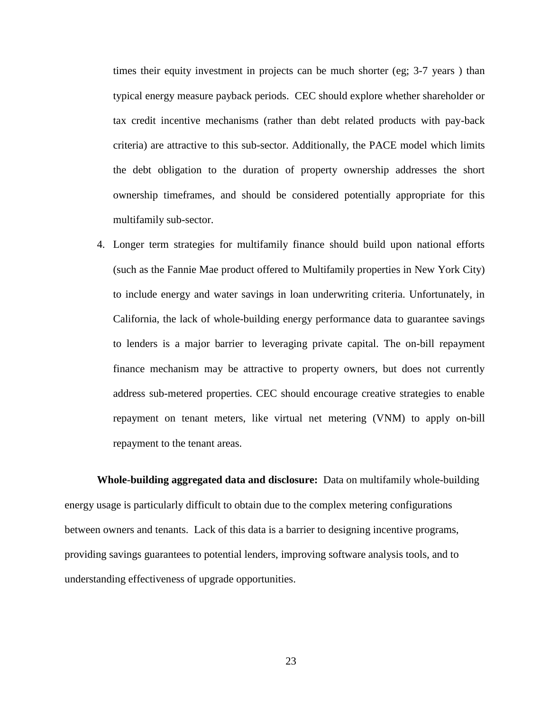times their equity investment in projects can be much shorter (eg; 3-7 years ) than typical energy measure payback periods. CEC should explore whether shareholder or tax credit incentive mechanisms (rather than debt related products with pay-back criteria) are attractive to this sub-sector. Additionally, the PACE model which limits the debt obligation to the duration of property ownership addresses the short ownership timeframes, and should be considered potentially appropriate for this multifamily sub-sector.

4. Longer term strategies for multifamily finance should build upon national efforts (such as the Fannie Mae product offered to Multifamily properties in New York City) to include energy and water savings in loan underwriting criteria. Unfortunately, in California, the lack of whole-building energy performance data to guarantee savings to lenders is a major barrier to leveraging private capital. The on-bill repayment finance mechanism may be attractive to property owners, but does not currently address sub-metered properties. CEC should encourage creative strategies to enable repayment on tenant meters, like virtual net metering (VNM) to apply on-bill repayment to the tenant areas.

**Whole-building aggregated data and disclosure:** Data on multifamily whole-building energy usage is particularly difficult to obtain due to the complex metering configurations between owners and tenants. Lack of this data is a barrier to designing incentive programs, providing savings guarantees to potential lenders, improving software analysis tools, and to understanding effectiveness of upgrade opportunities.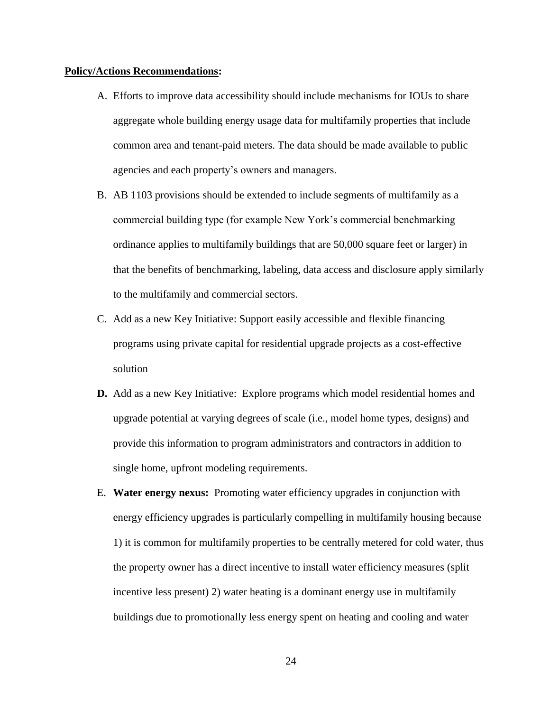#### **Policy/Actions Recommendations:**

- A. Efforts to improve data accessibility should include mechanisms for IOUs to share aggregate whole building energy usage data for multifamily properties that include common area and tenant-paid meters. The data should be made available to public agencies and each property's owners and managers.
- B. AB 1103 provisions should be extended to include segments of multifamily as a commercial building type (for example New York's commercial benchmarking ordinance applies to multifamily buildings that are 50,000 square feet or larger) in that the benefits of benchmarking, labeling, data access and disclosure apply similarly to the multifamily and commercial sectors.
- C. Add as a new Key Initiative: Support easily accessible and flexible financing programs using private capital for residential upgrade projects as a cost-effective solution
- **D.** Add as a new Key Initiative: Explore programs which model residential homes and upgrade potential at varying degrees of scale (i.e., model home types, designs) and provide this information to program administrators and contractors in addition to single home, upfront modeling requirements.
- E. **Water energy nexus:** Promoting water efficiency upgrades in conjunction with energy efficiency upgrades is particularly compelling in multifamily housing because 1) it is common for multifamily properties to be centrally metered for cold water, thus the property owner has a direct incentive to install water efficiency measures (split incentive less present) 2) water heating is a dominant energy use in multifamily buildings due to promotionally less energy spent on heating and cooling and water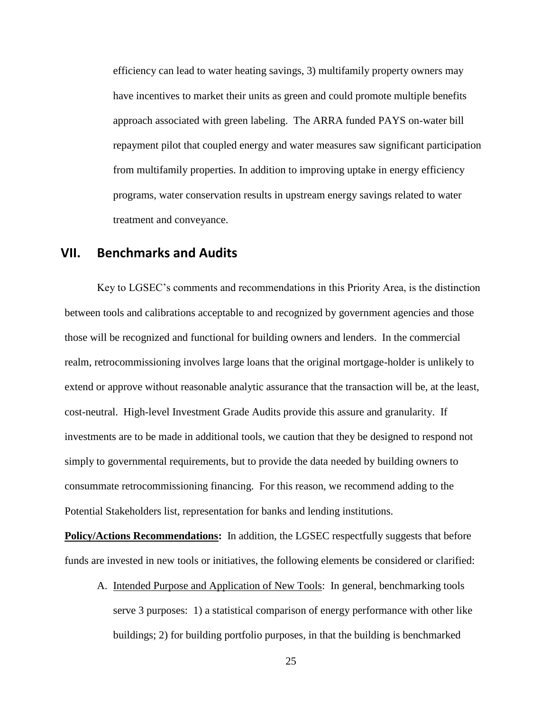efficiency can lead to water heating savings, 3) multifamily property owners may have incentives to market their units as green and could promote multiple benefits approach associated with green labeling. The ARRA funded PAYS on-water bill repayment pilot that coupled energy and water measures saw significant participation from multifamily properties. In addition to improving uptake in energy efficiency programs, water conservation results in upstream energy savings related to water treatment and conveyance.

### **VII. Benchmarks and Audits**

Key to LGSEC's comments and recommendations in this Priority Area, is the distinction between tools and calibrations acceptable to and recognized by government agencies and those those will be recognized and functional for building owners and lenders. In the commercial realm, retrocommissioning involves large loans that the original mortgage-holder is unlikely to extend or approve without reasonable analytic assurance that the transaction will be, at the least, cost-neutral. High-level Investment Grade Audits provide this assure and granularity. If investments are to be made in additional tools, we caution that they be designed to respond not simply to governmental requirements, but to provide the data needed by building owners to consummate retrocommissioning financing. For this reason, we recommend adding to the Potential Stakeholders list, representation for banks and lending institutions.

**Policy/Actions Recommendations:** In addition, the LGSEC respectfully suggests that before funds are invested in new tools or initiatives, the following elements be considered or clarified:

A. Intended Purpose and Application of New Tools: In general, benchmarking tools serve 3 purposes: 1) a statistical comparison of energy performance with other like buildings; 2) for building portfolio purposes, in that the building is benchmarked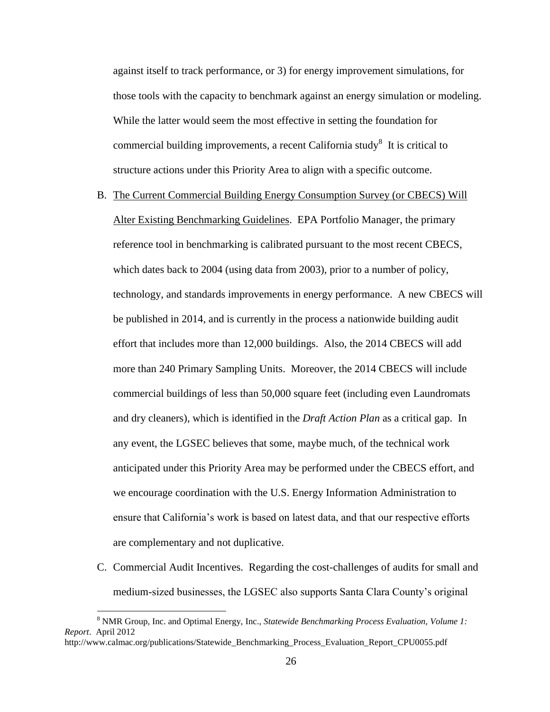against itself to track performance, or 3) for energy improvement simulations, for those tools with the capacity to benchmark against an energy simulation or modeling. While the latter would seem the most effective in setting the foundation for commercial building improvements, a recent California study<sup>8</sup> It is critical to structure actions under this Priority Area to align with a specific outcome.

- B. The Current Commercial Building Energy Consumption Survey (or CBECS) Will Alter Existing Benchmarking Guidelines. EPA Portfolio Manager, the primary reference tool in benchmarking is calibrated pursuant to the most recent CBECS, which dates back to 2004 (using data from 2003), prior to a number of policy, technology, and standards improvements in energy performance. A new CBECS will be published in 2014, and is currently in the process a nationwide building audit effort that includes more than 12,000 buildings. Also, the 2014 CBECS will add more than 240 Primary Sampling Units. Moreover, the 2014 CBECS will include commercial buildings of less than 50,000 square feet (including even Laundromats and dry cleaners), which is identified in the *Draft Action Plan* as a critical gap. In any event, the LGSEC believes that some, maybe much, of the technical work anticipated under this Priority Area may be performed under the CBECS effort, and we encourage coordination with the U.S. Energy Information Administration to ensure that California's work is based on latest data, and that our respective efforts are complementary and not duplicative.
- C. Commercial Audit Incentives. Regarding the cost-challenges of audits for small and medium-sized businesses, the LGSEC also supports Santa Clara County's original

 $\overline{a}$ 

<sup>8</sup> NMR Group, Inc. and Optimal Energy, Inc., *Statewide Benchmarking Process Evaluation, Volume 1: Report*. April 2012

http://www.calmac.org/publications/Statewide\_Benchmarking\_Process\_Evaluation\_Report\_CPU0055.pdf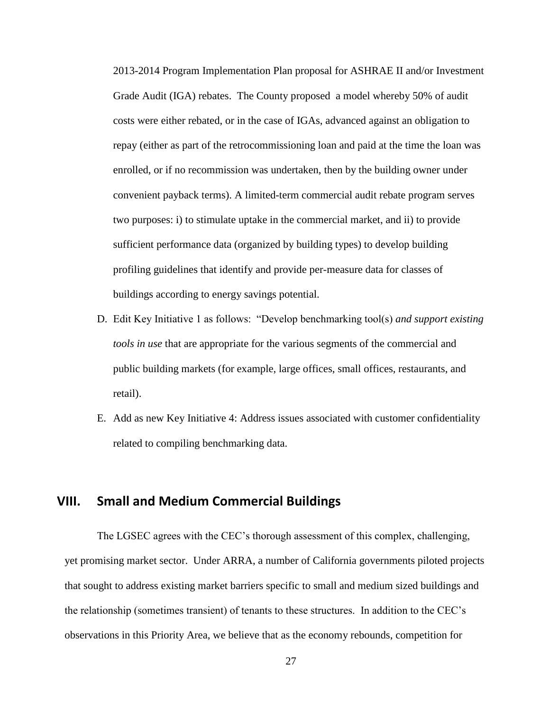2013-2014 Program Implementation Plan proposal for ASHRAE II and/or Investment Grade Audit (IGA) rebates. The County proposed a model whereby 50% of audit costs were either rebated, or in the case of IGAs, advanced against an obligation to repay (either as part of the retrocommissioning loan and paid at the time the loan was enrolled, or if no recommission was undertaken, then by the building owner under convenient payback terms). A limited-term commercial audit rebate program serves two purposes: i) to stimulate uptake in the commercial market, and ii) to provide sufficient performance data (organized by building types) to develop building profiling guidelines that identify and provide per-measure data for classes of buildings according to energy savings potential.

- D. Edit Key Initiative 1 as follows: "Develop benchmarking tool(s) *and support existing tools in use* that are appropriate for the various segments of the commercial and public building markets (for example, large offices, small offices, restaurants, and retail).
- E. Add as new Key Initiative 4: Address issues associated with customer confidentiality related to compiling benchmarking data.

# **VIII. Small and Medium Commercial Buildings**

The LGSEC agrees with the CEC's thorough assessment of this complex, challenging, yet promising market sector. Under ARRA, a number of California governments piloted projects that sought to address existing market barriers specific to small and medium sized buildings and the relationship (sometimes transient) of tenants to these structures. In addition to the CEC's observations in this Priority Area, we believe that as the economy rebounds, competition for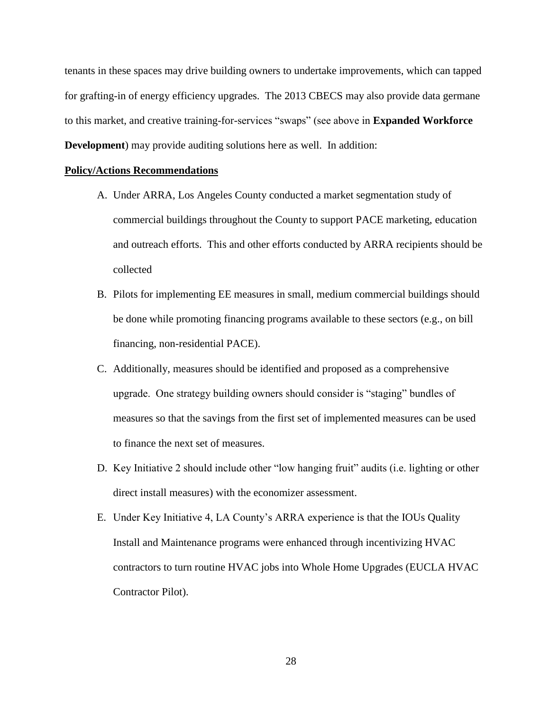tenants in these spaces may drive building owners to undertake improvements, which can tapped for grafting-in of energy efficiency upgrades. The 2013 CBECS may also provide data germane to this market, and creative training-for-services "swaps" (see above in **Expanded Workforce Development**) may provide auditing solutions here as well. In addition:

### **Policy/Actions Recommendations**

- A. Under ARRA, Los Angeles County conducted a market segmentation study of commercial buildings throughout the County to support PACE marketing, education and outreach efforts. This and other efforts conducted by ARRA recipients should be collected
- B. Pilots for implementing EE measures in small, medium commercial buildings should be done while promoting financing programs available to these sectors (e.g., on bill financing, non-residential PACE).
- C. Additionally, measures should be identified and proposed as a comprehensive upgrade. One strategy building owners should consider is "staging" bundles of measures so that the savings from the first set of implemented measures can be used to finance the next set of measures.
- D. Key Initiative 2 should include other "low hanging fruit" audits (i.e. lighting or other direct install measures) with the economizer assessment.
- E. Under Key Initiative 4, LA County's ARRA experience is that the IOUs Quality Install and Maintenance programs were enhanced through incentivizing HVAC contractors to turn routine HVAC jobs into Whole Home Upgrades (EUCLA HVAC Contractor Pilot).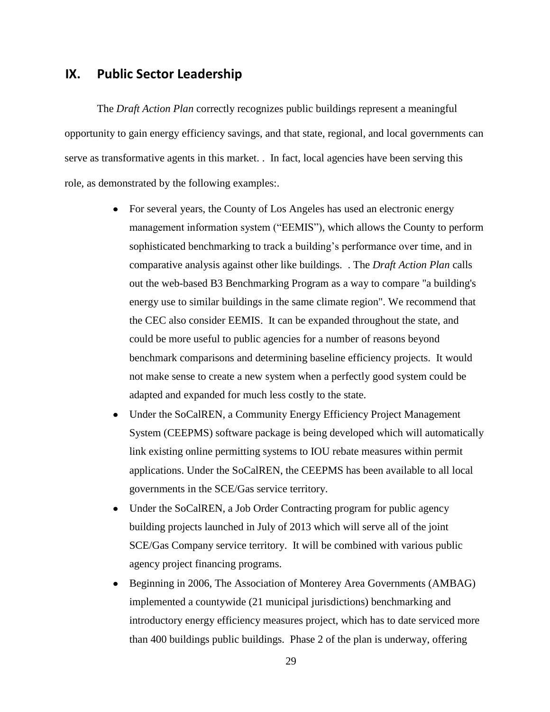## **IX. Public Sector Leadership**

The *Draft Action Plan* correctly recognizes public buildings represent a meaningful opportunity to gain energy efficiency savings, and that state, regional, and local governments can serve as transformative agents in this market. . In fact, local agencies have been serving this role, as demonstrated by the following examples:.

- For several years, the County of Los Angeles has used an electronic energy management information system ("EEMIS"), which allows the County to perform sophisticated benchmarking to track a building's performance over time, and in comparative analysis against other like buildings. . The *Draft Action Plan* calls out the web-based B3 Benchmarking Program as a way to compare "a building's energy use to similar buildings in the same climate region". We recommend that the CEC also consider EEMIS. It can be expanded throughout the state, and could be more useful to public agencies for a number of reasons beyond benchmark comparisons and determining baseline efficiency projects. It would not make sense to create a new system when a perfectly good system could be adapted and expanded for much less costly to the state.
- Under the SoCalREN, a Community Energy Efficiency Project Management System (CEEPMS) software package is being developed which will automatically link existing online permitting systems to IOU rebate measures within permit applications. Under the SoCalREN, the CEEPMS has been available to all local governments in the SCE/Gas service territory.
- Under the SoCalREN, a Job Order Contracting program for public agency building projects launched in July of 2013 which will serve all of the joint SCE/Gas Company service territory. It will be combined with various public agency project financing programs.
- Beginning in 2006, The Association of Monterey Area Governments (AMBAG) implemented a countywide (21 municipal jurisdictions) benchmarking and introductory energy efficiency measures project, which has to date serviced more than 400 buildings public buildings. Phase 2 of the plan is underway, offering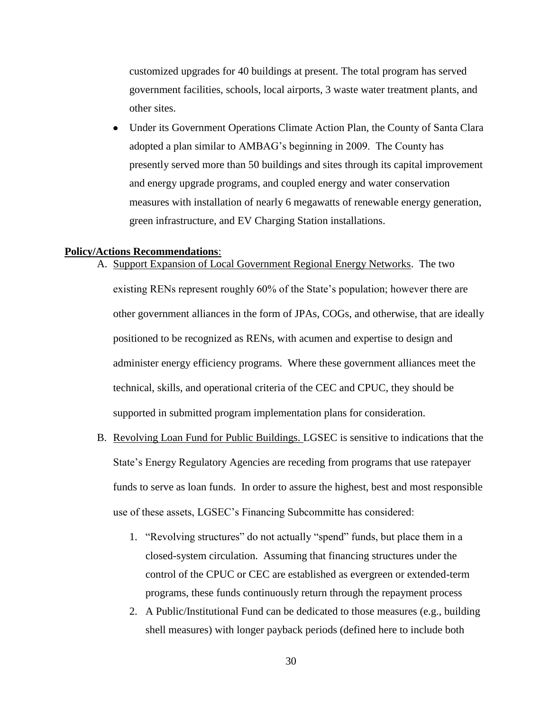customized upgrades for 40 buildings at present. The total program has served government facilities, schools, local airports, 3 waste water treatment plants, and other sites.

• Under its Government Operations Climate Action Plan, the County of Santa Clara adopted a plan similar to AMBAG's beginning in 2009. The County has presently served more than 50 buildings and sites through its capital improvement and energy upgrade programs, and coupled energy and water conservation measures with installation of nearly 6 megawatts of renewable energy generation, green infrastructure, and EV Charging Station installations.

### **Policy/Actions Recommendations**:

- A. Support Expansion of Local Government Regional Energy Networks. The two existing RENs represent roughly 60% of the State's population; however there are other government alliances in the form of JPAs, COGs, and otherwise, that are ideally positioned to be recognized as RENs, with acumen and expertise to design and administer energy efficiency programs. Where these government alliances meet the technical, skills, and operational criteria of the CEC and CPUC, they should be supported in submitted program implementation plans for consideration.
- B. Revolving Loan Fund for Public Buildings. LGSEC is sensitive to indications that the State's Energy Regulatory Agencies are receding from programs that use ratepayer funds to serve as loan funds. In order to assure the highest, best and most responsible use of these assets, LGSEC's Financing Subcommitte has considered:
	- 1. "Revolving structures" do not actually "spend" funds, but place them in a closed-system circulation. Assuming that financing structures under the control of the CPUC or CEC are established as evergreen or extended-term programs, these funds continuously return through the repayment process
	- 2. A Public/Institutional Fund can be dedicated to those measures (e.g., building shell measures) with longer payback periods (defined here to include both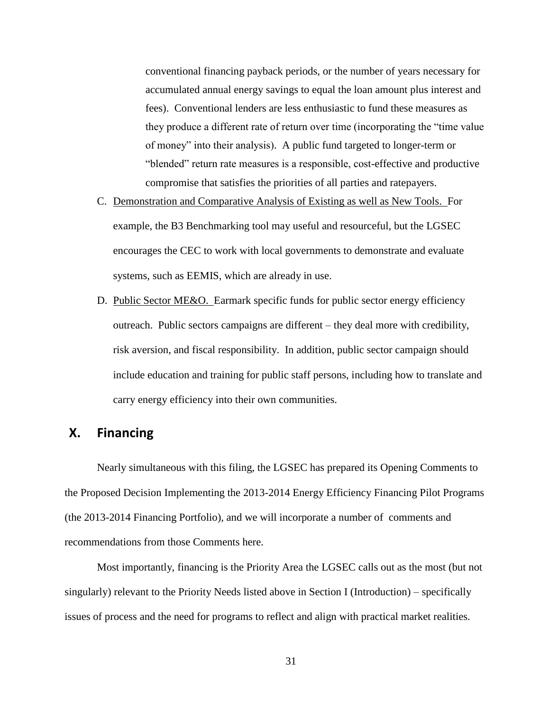conventional financing payback periods, or the number of years necessary for accumulated annual energy savings to equal the loan amount plus interest and fees). Conventional lenders are less enthusiastic to fund these measures as they produce a different rate of return over time (incorporating the "time value of money" into their analysis). A public fund targeted to longer-term or "blended" return rate measures is a responsible, cost-effective and productive compromise that satisfies the priorities of all parties and ratepayers.

- C. Demonstration and Comparative Analysis of Existing as well as New Tools. For example, the B3 Benchmarking tool may useful and resourceful, but the LGSEC encourages the CEC to work with local governments to demonstrate and evaluate systems, such as EEMIS, which are already in use.
- D. Public Sector ME&O. Earmark specific funds for public sector energy efficiency outreach. Public sectors campaigns are different – they deal more with credibility, risk aversion, and fiscal responsibility. In addition, public sector campaign should include education and training for public staff persons, including how to translate and carry energy efficiency into their own communities.

# **X. Financing**

Nearly simultaneous with this filing, the LGSEC has prepared its Opening Comments to the Proposed Decision Implementing the 2013-2014 Energy Efficiency Financing Pilot Programs (the 2013-2014 Financing Portfolio), and we will incorporate a number of comments and recommendations from those Comments here.

Most importantly, financing is the Priority Area the LGSEC calls out as the most (but not singularly) relevant to the Priority Needs listed above in Section I (Introduction) – specifically issues of process and the need for programs to reflect and align with practical market realities.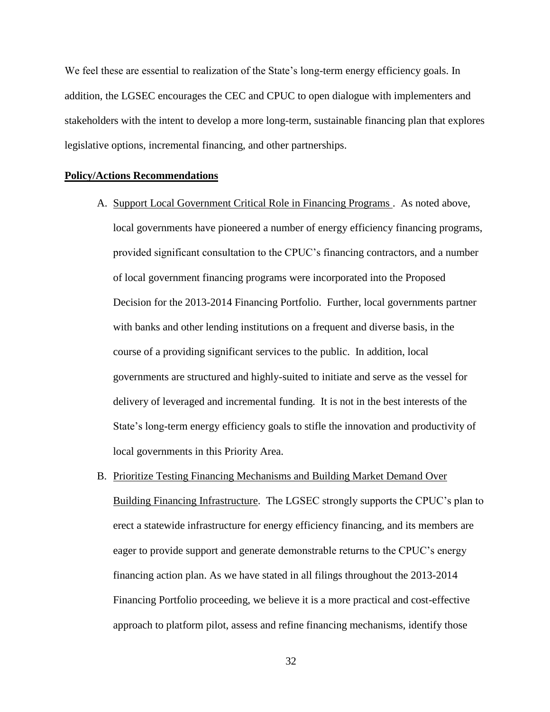We feel these are essential to realization of the State's long-term energy efficiency goals. In addition, the LGSEC encourages the CEC and CPUC to open dialogue with implementers and stakeholders with the intent to develop a more long-term, sustainable financing plan that explores legislative options, incremental financing, and other partnerships.

### **Policy/Actions Recommendations**

- A. Support Local Government Critical Role in Financing Programs . As noted above, local governments have pioneered a number of energy efficiency financing programs, provided significant consultation to the CPUC's financing contractors, and a number of local government financing programs were incorporated into the Proposed Decision for the 2013-2014 Financing Portfolio. Further, local governments partner with banks and other lending institutions on a frequent and diverse basis, in the course of a providing significant services to the public. In addition, local governments are structured and highly-suited to initiate and serve as the vessel for delivery of leveraged and incremental funding. It is not in the best interests of the State's long-term energy efficiency goals to stifle the innovation and productivity of local governments in this Priority Area.
- B. Prioritize Testing Financing Mechanisms and Building Market Demand Over Building Financing Infrastructure. The LGSEC strongly supports the CPUC's plan to erect a statewide infrastructure for energy efficiency financing, and its members are eager to provide support and generate demonstrable returns to the CPUC's energy financing action plan. As we have stated in all filings throughout the 2013-2014 Financing Portfolio proceeding, we believe it is a more practical and cost-effective approach to platform pilot, assess and refine financing mechanisms, identify those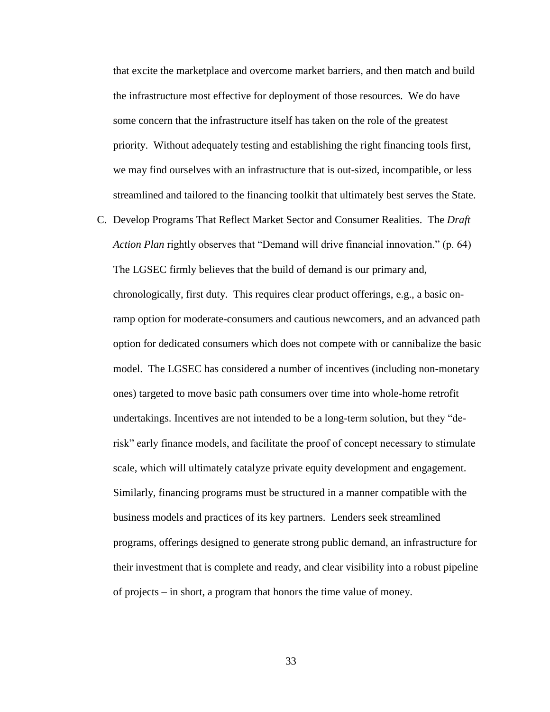that excite the marketplace and overcome market barriers, and then match and build the infrastructure most effective for deployment of those resources. We do have some concern that the infrastructure itself has taken on the role of the greatest priority. Without adequately testing and establishing the right financing tools first, we may find ourselves with an infrastructure that is out-sized, incompatible, or less streamlined and tailored to the financing toolkit that ultimately best serves the State.

C. Develop Programs That Reflect Market Sector and Consumer Realities. The *Draft Action Plan* rightly observes that "Demand will drive financial innovation." (p. 64) The LGSEC firmly believes that the build of demand is our primary and, chronologically, first duty. This requires clear product offerings, e.g., a basic onramp option for moderate-consumers and cautious newcomers, and an advanced path option for dedicated consumers which does not compete with or cannibalize the basic model. The LGSEC has considered a number of incentives (including non-monetary ones) targeted to move basic path consumers over time into whole-home retrofit undertakings. Incentives are not intended to be a long-term solution, but they "derisk" early finance models, and facilitate the proof of concept necessary to stimulate scale, which will ultimately catalyze private equity development and engagement. Similarly, financing programs must be structured in a manner compatible with the business models and practices of its key partners. Lenders seek streamlined programs, offerings designed to generate strong public demand, an infrastructure for their investment that is complete and ready, and clear visibility into a robust pipeline of projects – in short, a program that honors the time value of money.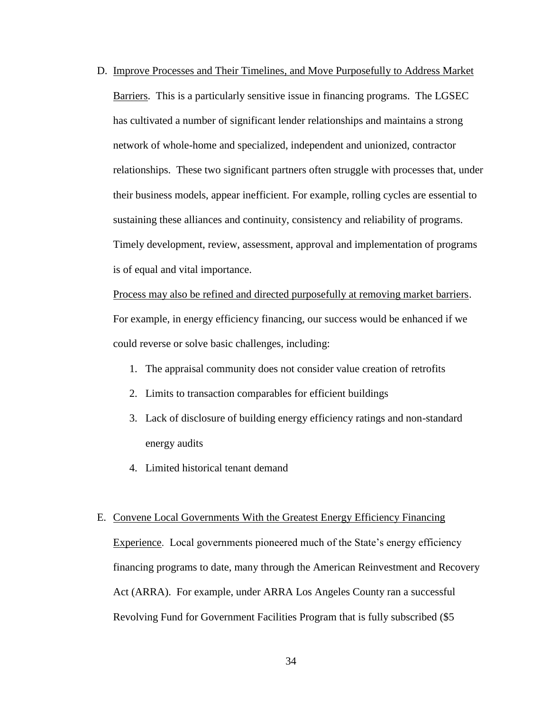D. Improve Processes and Their Timelines, and Move Purposefully to Address Market Barriers. This is a particularly sensitive issue in financing programs. The LGSEC has cultivated a number of significant lender relationships and maintains a strong network of whole-home and specialized, independent and unionized, contractor relationships. These two significant partners often struggle with processes that, under their business models, appear inefficient. For example, rolling cycles are essential to sustaining these alliances and continuity, consistency and reliability of programs. Timely development, review, assessment, approval and implementation of programs is of equal and vital importance.

Process may also be refined and directed purposefully at removing market barriers. For example, in energy efficiency financing, our success would be enhanced if we could reverse or solve basic challenges, including:

- 1. The appraisal community does not consider value creation of retrofits
- 2. Limits to transaction comparables for efficient buildings
- 3. Lack of disclosure of building energy efficiency ratings and non-standard energy audits
- 4. Limited historical tenant demand

#### E. Convene Local Governments With the Greatest Energy Efficiency Financing

Experience. Local governments pioneered much of the State's energy efficiency financing programs to date, many through the American Reinvestment and Recovery Act (ARRA). For example, under ARRA Los Angeles County ran a successful Revolving Fund for Government Facilities Program that is fully subscribed (\$5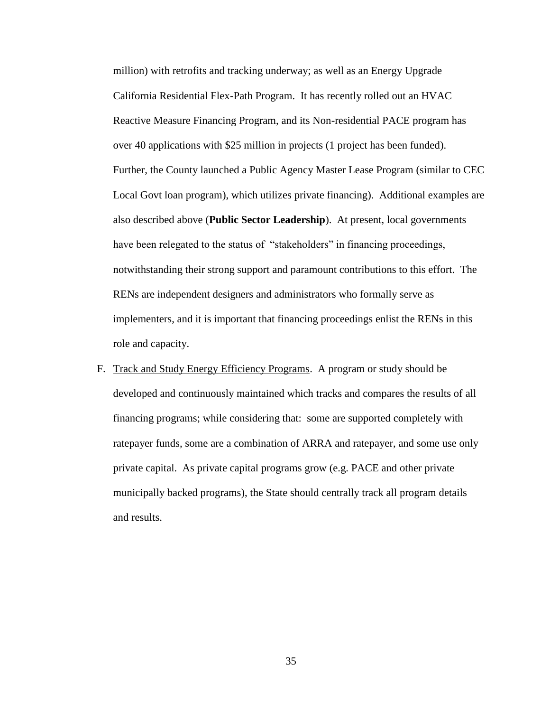million) with retrofits and tracking underway; as well as an Energy Upgrade California Residential Flex-Path Program. It has recently rolled out an HVAC Reactive Measure Financing Program, and its Non-residential PACE program has over 40 applications with \$25 million in projects (1 project has been funded). Further, the County launched a Public Agency Master Lease Program (similar to CEC Local Govt loan program), which utilizes private financing). Additional examples are also described above (**Public Sector Leadership**). At present, local governments have been relegated to the status of "stakeholders" in financing proceedings, notwithstanding their strong support and paramount contributions to this effort. The RENs are independent designers and administrators who formally serve as implementers, and it is important that financing proceedings enlist the RENs in this role and capacity.

F. Track and Study Energy Efficiency Programs. A program or study should be developed and continuously maintained which tracks and compares the results of all financing programs; while considering that: some are supported completely with ratepayer funds, some are a combination of ARRA and ratepayer, and some use only private capital. As private capital programs grow (e.g. PACE and other private municipally backed programs), the State should centrally track all program details and results.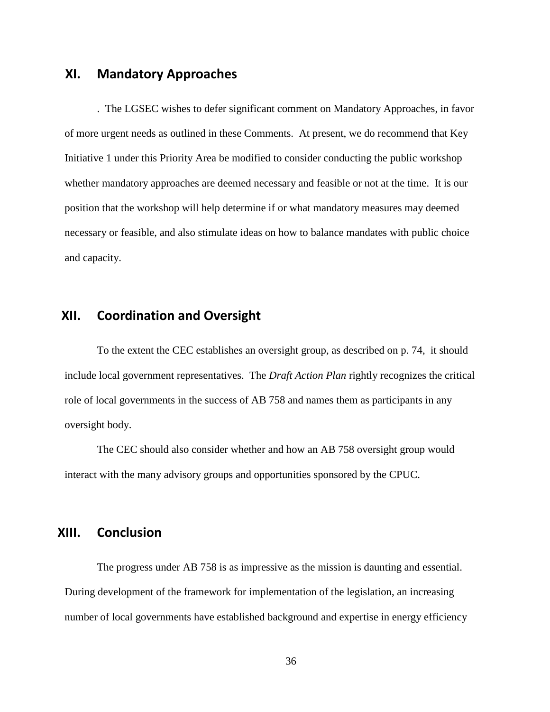## **XI. Mandatory Approaches**

. The LGSEC wishes to defer significant comment on Mandatory Approaches, in favor of more urgent needs as outlined in these Comments. At present, we do recommend that Key Initiative 1 under this Priority Area be modified to consider conducting the public workshop whether mandatory approaches are deemed necessary and feasible or not at the time. It is our position that the workshop will help determine if or what mandatory measures may deemed necessary or feasible, and also stimulate ideas on how to balance mandates with public choice and capacity.

## **XII. Coordination and Oversight**

To the extent the CEC establishes an oversight group, as described on p. 74, it should include local government representatives. The *Draft Action Plan* rightly recognizes the critical role of local governments in the success of AB 758 and names them as participants in any oversight body.

The CEC should also consider whether and how an AB 758 oversight group would interact with the many advisory groups and opportunities sponsored by the CPUC.

# **XIII. Conclusion**

The progress under AB 758 is as impressive as the mission is daunting and essential. During development of the framework for implementation of the legislation, an increasing number of local governments have established background and expertise in energy efficiency